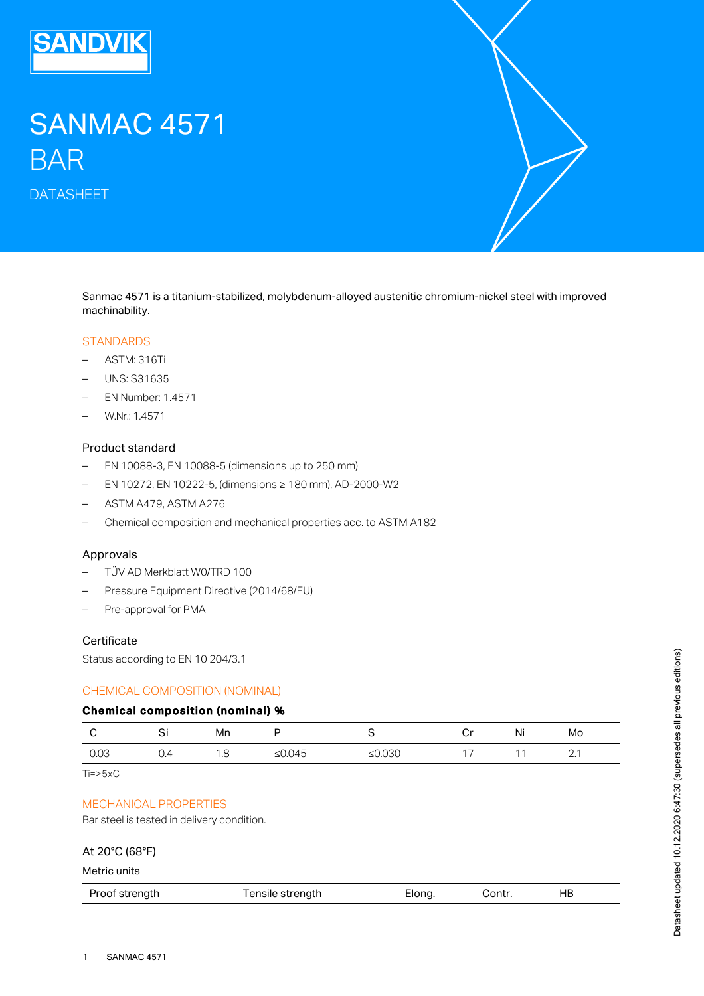

# SANMAC 4571 BAR

DATASHEET

Sanmac 4571 is a titanium-stabilized, molybdenum-alloyed austenitic chromium-nickel steel with improved machinability.

#### **STANDARDS**

- ASTM: 316Ti
- UNS: S31635
- EN Number: 1.4571
- W.Nr.: 1.4571

## Product standard

- EN 10088-3, EN 10088-5 (dimensions up to 250 mm)
- EN 10272, EN 10222-5, (dimensions ≥ 180 mm), AD-2000-W2
- ASTM A479, ASTM A276
- Chemical composition and mechanical properties acc. to ASTM A182

## Approvals

- TÜV AD Merkblatt W0/TRD 100
- Pressure Equipment Directive (2014/68/EU)
- Pre-approval for PMA

## **Certificate**

Status according to EN 10 204/3.1

## CHEMICAL COMPOSITION (NOMINAL)

#### Chemical composition (nominal) %

|      | J.  | Mn   |           |           | ັ             | Ni | Mo     |
|------|-----|------|-----------|-----------|---------------|----|--------|
| 0.03 | ◡.¬ | ں. ا | ≤ $0.045$ | ≤ $0.030$ | $\rightarrow$ |    | $\sim$ |

 $Ti = > 5 \times C$ 

## MECHANICAL PROPERTIES

Bar steel is tested in delivery condition.

### At 20°C (68°F)

Metric units

|--|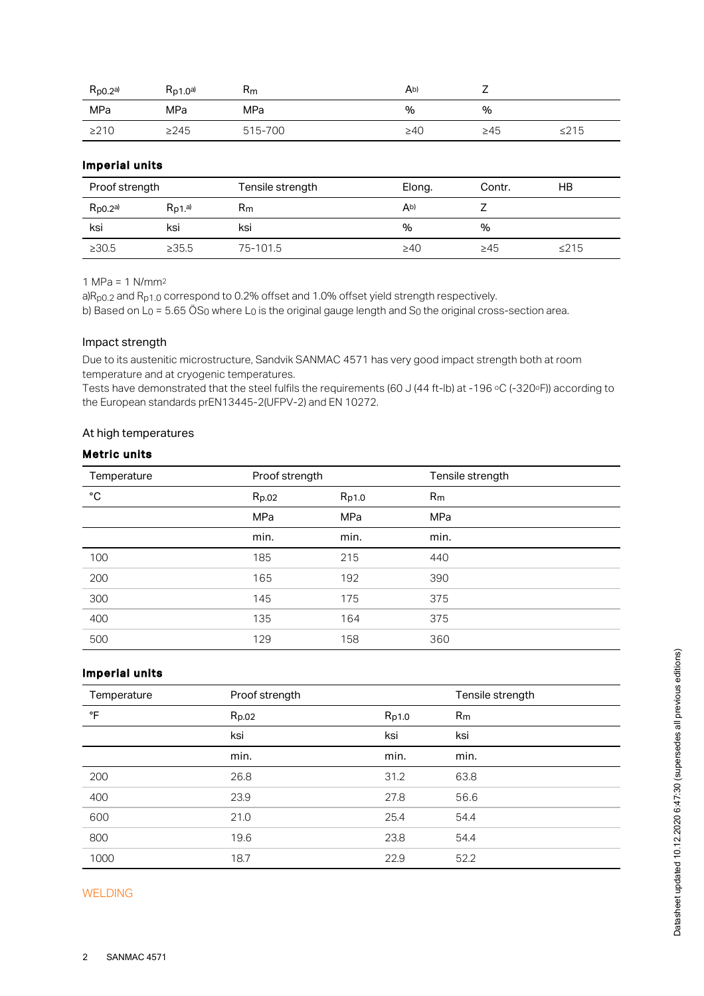| $R_{p0.2}$ a) | Rp1.0a     | $R_{m}$ | Ab)       | <u>_</u>  |            |
|---------------|------------|---------|-----------|-----------|------------|
| MPa           | MPa        | MPa     | %         | %         |            |
| $\geq$ 210    | $\geq$ 245 | 515-700 | $\geq 40$ | $\geq 45$ | $\leq$ 215 |

## Imperial units

| Proof strength |                        | Tensile strength | Elong.    | Contr.    | НB         |
|----------------|------------------------|------------------|-----------|-----------|------------|
| $R_{p0.2}$ a)  | $R_{D1}$ <sup>a)</sup> | $R_{m}$          | Ab)       |           |            |
| ksi            | ksi                    | ksi              | %         | $\%$      |            |
| $\geq 30.5$    | >35.5                  | 75-101.5         | $\geq 40$ | $\geq 45$ | $\leq$ 215 |

1 MPa = 1 N/mm 2

a)R<sub>p0.2</sub> and R<sub>p1.0</sub> correspond to 0.2% offset and 1.0% offset yield strength respectively. b) Based on L $_{\rm O}$  = 5.65 OS $_{\rm O}$  where L $_{\rm O}$  is the original gauge length and S $_{\rm O}$  the original cross-section area.

#### Impact strength

Due to its austenitic microstructure, Sandvik SANMAC 4571 has very good impact strength both at room temperature and at cryogenic temperatures.

Tests have demonstrated that the steel fulfils the requirements (60 J (44 ft-lb) at -196 °C (-320°F)) according to the European standards prEN13445-2(UFPV-2) and EN 10272.

## At high temperatures

## Metric units

| Temperature  | Proof strength |       | Tensile strength |
|--------------|----------------|-------|------------------|
| $^{\circ}$ C | Rp.02          | Rp1.0 | R <sub>m</sub>   |
|              | MPa            | MPa   | MPa              |
|              | min.           | min.  | min.             |
| 100          | 185            | 215   | 440              |
| 200          | 165            | 192   | 390              |
| 300          | 145            | 175   | 375              |
| 400          | 135            | 164   | 375              |
| 500          | 129            | 158   | 360              |

## Imperial units

| Temperature | Proof strength |       | Tensile strength |
|-------------|----------------|-------|------------------|
| °F          | Rp.02          | Rp1.0 | R <sub>m</sub>   |
|             | ksi            | ksi   | ksi              |
|             | min.           | min.  | min.             |
| 200         | 26.8           | 31.2  | 63.8             |
| 400         | 23.9           | 27.8  | 56.6             |
| 600         | 21.0           | 25.4  | 54.4             |
| 800         | 19.6           | 23.8  | 54.4             |
| 1000        | 18.7           | 22.9  | 52.2             |

#### WELDING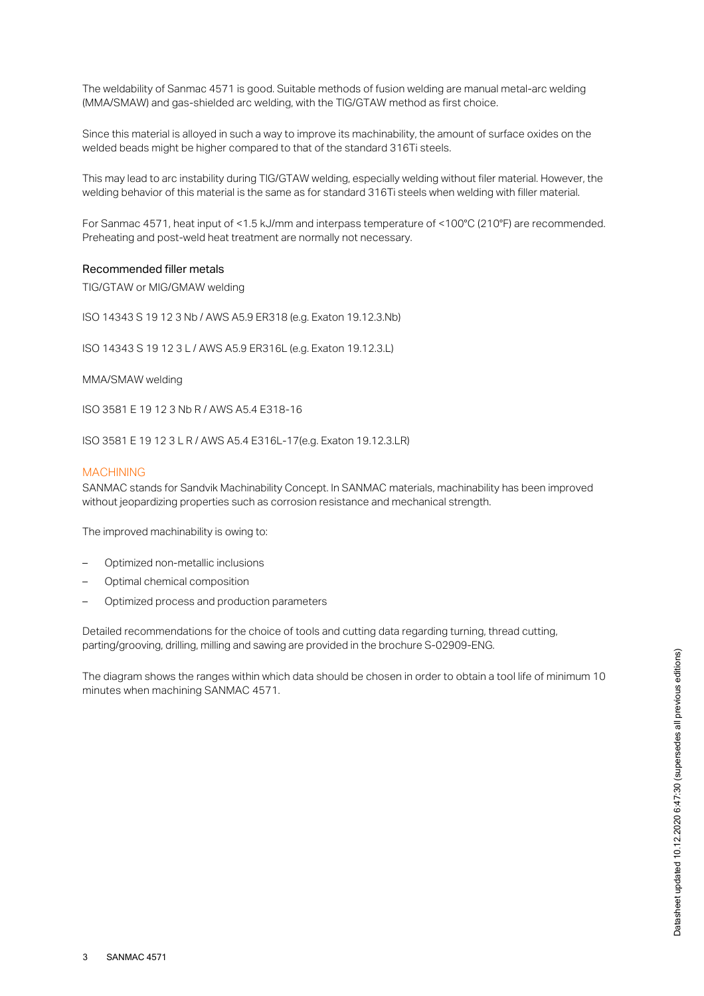The weldability of Sanmac 4571 is good. Suitable methods of fusion welding are manual metal-arc welding (MMA/SMAW) and gas-shielded arc welding, with the TIG/GTAW method as first choice.

Since this material is alloyed in such a way to improve its machinability, the amount of surface oxides on the welded beads might be higher compared to that of the standard 316Ti steels.

This may lead to arc instability during TIG/GTAW welding, especially welding without filer material. However, the welding behavior of this material is the same as for standard 316Ti steels when welding with filler material.

For Sanmac 4571, heat input of <1.5 kJ/mm and interpass temperature of <100°C (210°F) are recommended. Preheating and post-weld heat treatment are normally not necessary.

#### Recommended filler metals

TIG/GTAW or MIG/GMAW welding

ISO 14343 S 19 12 3 Nb / AWS A5.9 ER318 (e.g. Exaton 19.12.3.Nb)

ISO 14343 S 19 12 3 L / AWS A5.9 ER316L (e.g. Exaton 19.12.3.L)

MMA/SMAW welding

ISO 3581 E 19 12 3 Nb R / AWS A5.4 E318-16

ISO 3581 E 19 12 3 L R / AWS A5.4 E316L-17(e.g. Exaton 19.12.3.LR)

#### MACHINING

SANMAC stands for Sandvik Machinability Concept. In SANMAC materials, machinability has been improved without jeopardizing properties such as corrosion resistance and mechanical strength.

The improved machinability is owing to:

- Optimized non-metallic inclusions
- Optimal chemical composition
- Optimized process and production parameters

Detailed recommendations for the choice of tools and cutting data regarding turning, thread cutting, parting/grooving, drilling, milling and sawing are provided in the brochure S-02909-ENG.

The diagram shows the ranges within which data should be chosen in order to obtain a tool life of minimum 10 minutes when machining SANMAC 4571.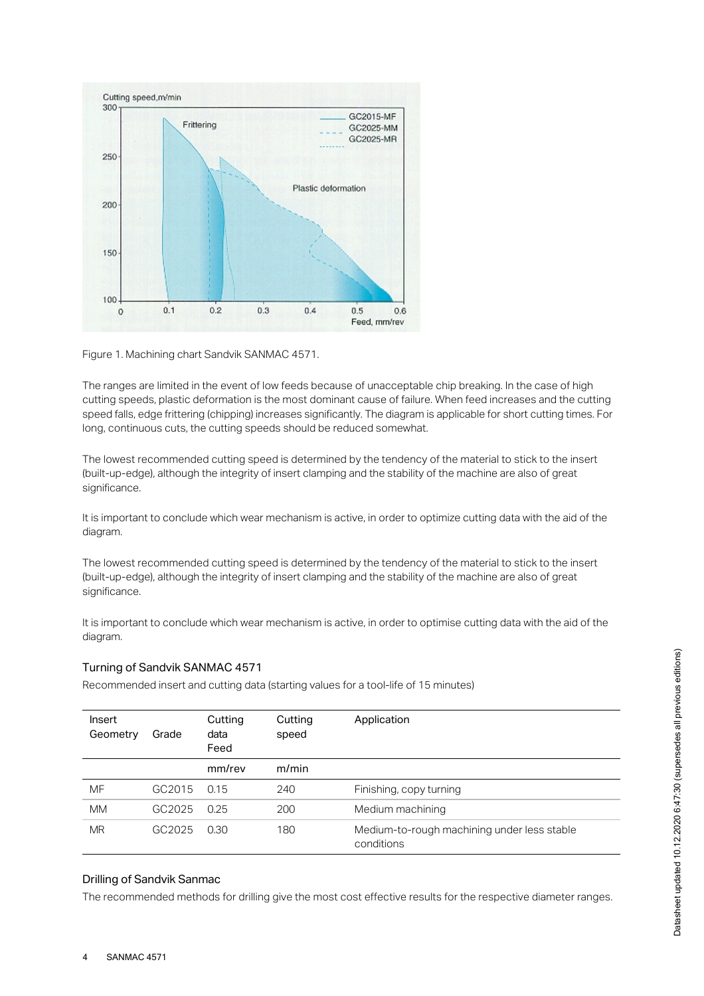

Figure 1. Machining chart Sandvik SANMAC 4571.

The ranges are limited in the event of low feeds because of unacceptable chip breaking. In the case of high cutting speeds, plastic deformation is the most dominant cause of failure. When feed increases and the cutting speed falls, edge frittering (chipping) increases significantly. The diagram is applicable for short cutting times. For long, continuous cuts, the cutting speeds should be reduced somewhat.

The lowest recommended cutting speed is determined by the tendency of the material to stick to the insert (built-up-edge), although the integrity of insert clamping and the stability of the machine are also of great significance.

It is important to conclude which wear mechanism is active, in order to optimize cutting data with the aid of the diagram.

The lowest recommended cutting speed is determined by the tendency of the material to stick to the insert (built-up-edge), although the integrity of insert clamping and the stability of the machine are also of great significance.

It is important to conclude which wear mechanism is active, in order to optimise cutting data with the aid of the diagram.

## Turning of Sandvik SANMAC 4571

| Insert<br>Geometry | Grade  | Cutting<br>data<br>Feed | Cutting<br>speed | Application                                               |
|--------------------|--------|-------------------------|------------------|-----------------------------------------------------------|
|                    |        | mm/rev                  | m/min            |                                                           |
| MF                 | GC2015 | 0.15                    | 240              | Finishing, copy turning                                   |
| <b>MM</b>          | GC2025 | 0.25                    | 200              | Medium machining                                          |
| <b>MR</b>          | GC2025 | 0.30                    | 180              | Medium-to-rough machining under less stable<br>conditions |

## Drilling of Sandvik Sanmac